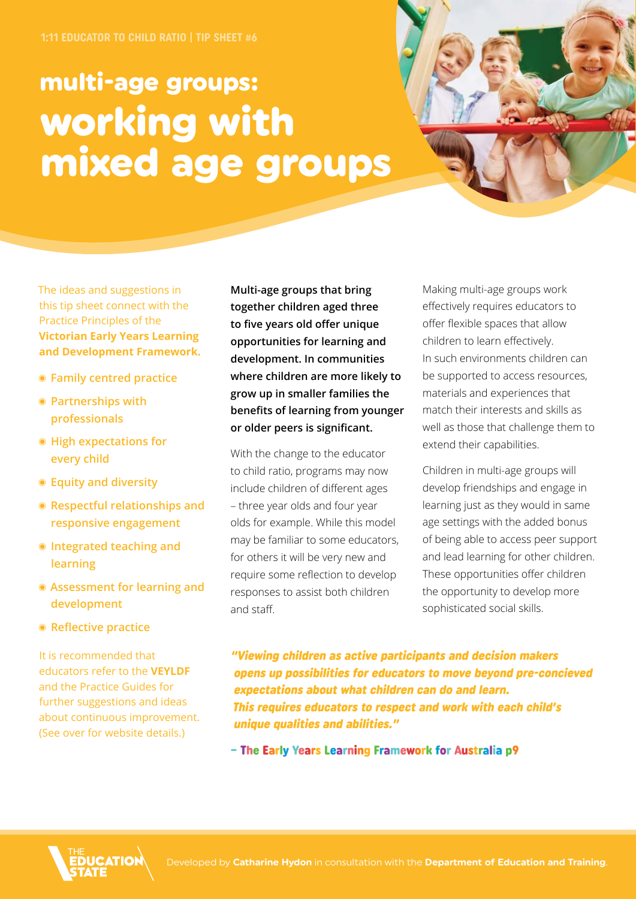# multi-age groups: working with mixed age groups



The ideas and suggestions in this tip sheet connect with the Practice Principles of the **Victorian Early Years Learning and Development Framework.**

- ◉ **Family centred practice**
- ◉ **Partnerships with professionals**
- ◉ **High expectations for every child**
- ◉ **Equity and diversity**
- ◉ **Respectful relationships and responsive engagement**
- ◉ **Integrated teaching and learning**
- ◉ **Assessment for learning and development**
- ◉ **Reflective practice**

It is recommended that educators refer to the **VEYLDF** and the Practice Guides for further suggestions and ideas about continuous improvement. (See over for website details.)

**Multi-age groups that bring together children aged three to five years old offer unique opportunities for learning and development. In communities where children are more likely to grow up in smaller families the benefits of learning from younger or older peers is significant.**

With the change to the educator to child ratio, programs may now include children of different ages – three year olds and four year olds for example. While this model may be familiar to some educators, for others it will be very new and require some reflection to develop responses to assist both children and staff.

Making multi-age groups work effectively requires educators to offer flexible spaces that allow children to learn effectively. In such environments children can be supported to access resources, materials and experiences that match their interests and skills as well as those that challenge them to extend their capabilities.

Children in multi-age groups will develop friendships and engage in learning just as they would in same age settings with the added bonus of being able to access peer support and lead learning for other children. These opportunities offer children the opportunity to develop more sophisticated social skills.

"Viewing children as active participants and decision makers opens up possibilities for educators to move beyond pre-concieved expectations about what children can do and learn. This requires educators to respect and work with each child's unique qualities and abilities."

– The Early Years Learning Framework for Australia p9

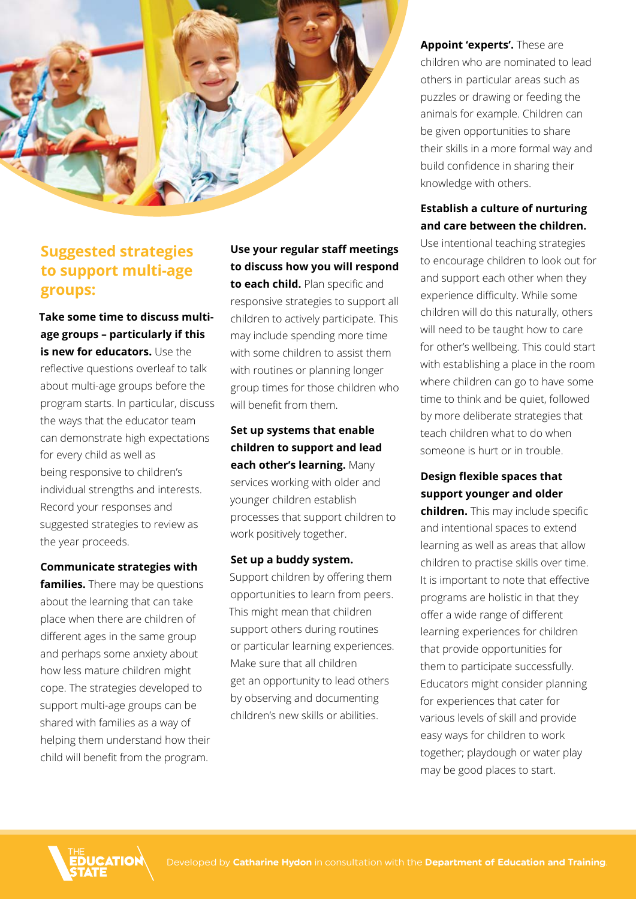

## **Suggested strategies to support multi-age groups:**

**Take some time to discuss multiage groups – particularly if this is new for educators.** Use the reflective questions overleaf to talk about multi-age groups before the program starts. In particular, discuss the ways that the educator team can demonstrate high expectations for every child as well as being responsive to children's individual strengths and interests. Record your responses and suggested strategies to review as the year proceeds.

#### **Communicate strategies with**

**families.** There may be questions about the learning that can take place when there are children of different ages in the same group and perhaps some anxiety about how less mature children might cope. The strategies developed to support multi-age groups can be shared with families as a way of helping them understand how their child will benefit from the program.

**Use your regular staff meetings to discuss how you will respond to each child.** Plan specific and responsive strategies to support all children to actively participate. This may include spending more time with some children to assist them with routines or planning longer group times for those children who will benefit from them.

**Set up systems that enable children to support and lead each other's learning.** Many services working with older and younger children establish processes that support children to work positively together.

**Set up a buddy system.**  Support children by offering them opportunities to learn from peers. This might mean that children support others during routines or particular learning experiences. Make sure that all children get an opportunity to lead others by observing and documenting children's new skills or abilities.

**Appoint 'experts'.** These are children who are nominated to lead others in particular areas such as puzzles or drawing or feeding the animals for example. Children can be given opportunities to share their skills in a more formal way and build confidence in sharing their knowledge with others.

#### **Establish a culture of nurturing and care between the children.**

Use intentional teaching strategies to encourage children to look out for and support each other when they experience difficulty. While some children will do this naturally, others will need to be taught how to care for other's wellbeing. This could start with establishing a place in the room where children can go to have some time to think and be quiet, followed by more deliberate strategies that teach children what to do when someone is hurt or in trouble.

#### **Design flexible spaces that support younger and older**

**children.** This may include specific and intentional spaces to extend learning as well as areas that allow children to practise skills over time. It is important to note that effective programs are holistic in that they offer a wide range of different learning experiences for children that provide opportunities for them to participate successfully. Educators might consider planning for experiences that cater for various levels of skill and provide easy ways for children to work together; playdough or water play may be good places to start.